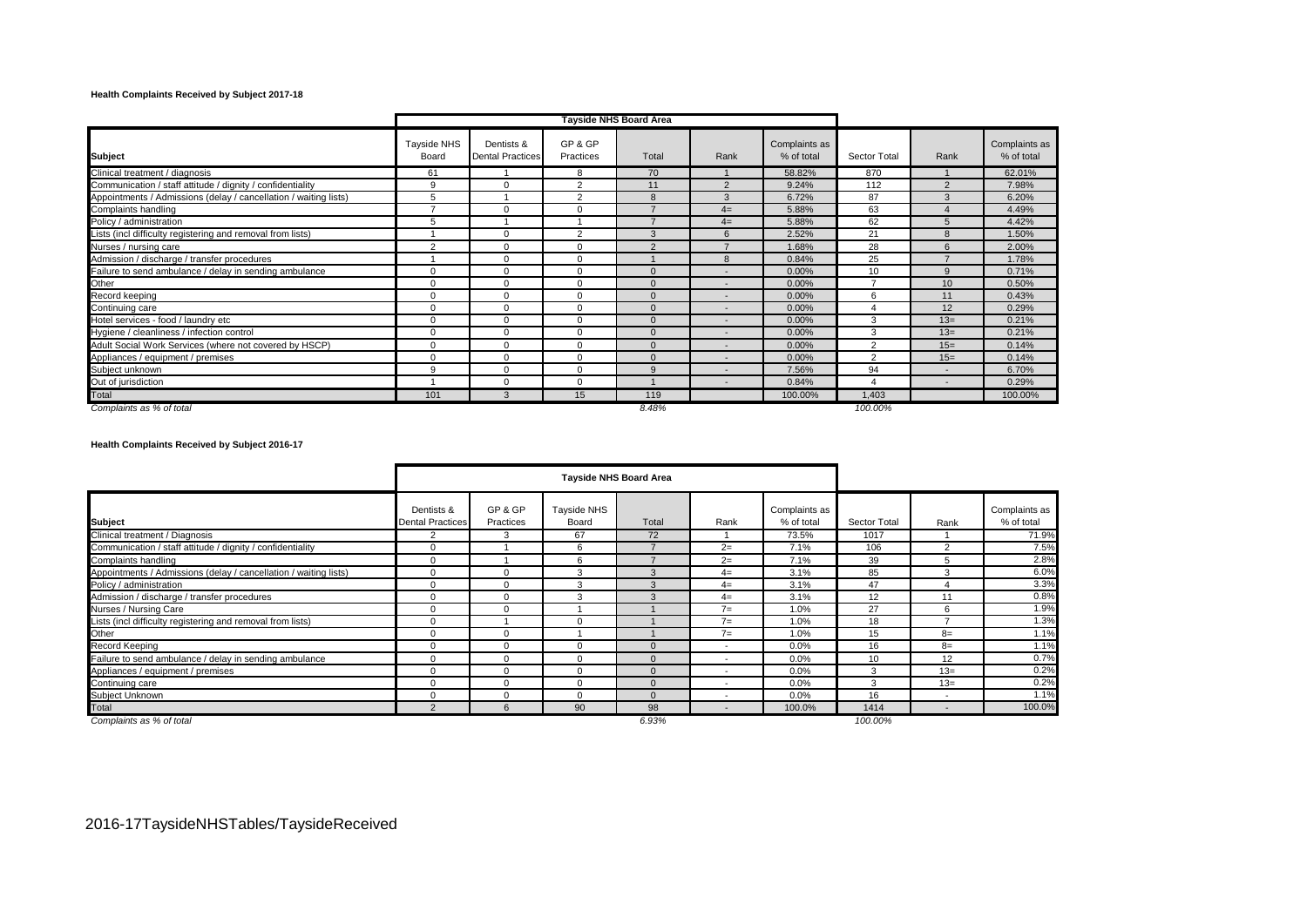# **Health Complaints Received by Subject 2017-18**

|                                                                  |                             |                                       |                      | Tayside NHS Board Area |                          |                             |                |                          |                             |
|------------------------------------------------------------------|-----------------------------|---------------------------------------|----------------------|------------------------|--------------------------|-----------------------------|----------------|--------------------------|-----------------------------|
| <b>Subject</b>                                                   | <b>Tayside NHS</b><br>Board | Dentists &<br><b>Dental Practices</b> | GP & GP<br>Practices | Total                  | Rank                     | Complaints as<br>% of total | Sector Total   | Rank                     | Complaints as<br>% of total |
| Clinical treatment / diagnosis                                   | 61                          |                                       | 8                    | 70                     |                          | 58.82%                      | 870            |                          | 62.01%                      |
| Communication / staff attitude / dignity / confidentiality       | 9                           | $\mathbf 0$                           | $\overline{2}$       | 11                     | $\mathcal{P}$            | 9.24%                       | 112            | $\overline{2}$           | 7.98%                       |
| Appointments / Admissions (delay / cancellation / waiting lists) | 5                           |                                       | $\overline{2}$       | 8                      | 3                        | 6.72%                       | 87             | $\mathcal{R}$            | 6.20%                       |
| Complaints handling                                              | ⇁                           | $\mathbf 0$                           | $\Omega$             |                        | $4=$                     | 5.88%                       | 63             |                          | 4.49%                       |
| Policy / administration                                          | 5                           |                                       |                      | ⇁                      | $4=$                     | 5.88%                       | 62             | 5                        | 4.42%                       |
| Lists (incl difficulty registering and removal from lists)       |                             | $\Omega$                              | $\mathcal{P}$        | $\mathcal{R}$          | 6                        | 2.52%                       | 21             | $\mathsf{R}$             | 1.50%                       |
| Nurses / nursing care                                            | $\overline{2}$              | $\Omega$                              | $\Omega$             | $\mathcal{P}$          |                          | 1.68%                       | 28             | $\epsilon$               | 2.00%                       |
| Admission / discharge / transfer procedures                      |                             | $\Omega$                              | $\Omega$             |                        | $\mathbf{R}$             | 0.84%                       | 25             |                          | 1.78%                       |
| Failure to send ambulance / delay in sending ambulance           | $\Omega$                    | $\mathbf 0$                           |                      | $\Omega$               |                          | 0.00%                       | 10             | $\mathbf{Q}$             | 0.71%                       |
| Other                                                            | $\Omega$                    | $\mathbf 0$                           | $\Omega$             | $\Omega$               |                          | 0.00%                       | ⇁              | 10 <sup>10</sup>         | 0.50%                       |
| Record keeping                                                   | $\Omega$                    | $\Omega$                              |                      | $\Omega$               |                          | 0.00%                       | 6              | 11                       | 0.43%                       |
| Continuing care                                                  | $\Omega$                    | $\mathbf 0$                           | $\Omega$             | $\Omega$               | $\overline{\phantom{a}}$ | 0.00%                       |                | 12                       | 0.29%                       |
| Hotel services - food / laundry etc                              | $\Omega$                    | $\mathbf 0$                           | $\Omega$             | $\Omega$               | $\overline{\phantom{a}}$ | 0.00%                       | 3              | $13=$                    | 0.21%                       |
| Hygiene / cleanliness / infection control                        | $\Omega$                    | $\mathbf 0$                           | $\Omega$             | $\Omega$               | $\overline{\phantom{a}}$ | 0.00%                       | 3              | $13=$                    | 0.21%                       |
| Adult Social Work Services (where not covered by HSCP)           | $\Omega$                    | $\Omega$                              | $\Omega$             | $\Omega$               | $\overline{\phantom{a}}$ | 0.00%                       | $\overline{2}$ | $15=$                    | 0.14%                       |
| Appliances / equipment / premises                                | $\Omega$                    | 0                                     | $\Omega$             | $\Omega$               | $\overline{\phantom{0}}$ | 0.00%                       | 2              | $15=$                    | 0.14%                       |
| Subject unknown                                                  | 9                           | $\mathbf 0$                           | $\Omega$             | 9                      |                          | 7.56%                       | 94             | $\overline{\phantom{a}}$ | 6.70%                       |
| Out of jurisdiction                                              |                             | $\mathbf 0$                           | $\Omega$             |                        | $\overline{\phantom{0}}$ | 0.84%                       | 4              | $\overline{\phantom{0}}$ | 0.29%                       |
| Total                                                            | 101                         | $\mathbf{3}$                          | 15                   | 119                    |                          | 100.00%                     | 1,403          |                          | 100.00%                     |
| Complaints as % of total                                         |                             |                                       |                      | 8.48%                  |                          |                             | 100.00%        |                          |                             |

**Health Complaints Received by Subject 2016-17**

|                                                                  |                                       |                      |                      | <b>Tayside NHS Board Area</b> |                          |                             |              |                          |                             |
|------------------------------------------------------------------|---------------------------------------|----------------------|----------------------|-------------------------------|--------------------------|-----------------------------|--------------|--------------------------|-----------------------------|
| <b>Subject</b>                                                   | Dentists &<br><b>Dental Practices</b> | GP & GP<br>Practices | Tayside NHS<br>Board | Total                         | Rank                     | Complaints as<br>% of total | Sector Total | Rank                     | Complaints as<br>% of total |
| Clinical treatment / Diagnosis                                   | $\overline{2}$                        | 3                    | 67                   | 72                            |                          | 73.5%                       | 1017         |                          | 71.9%                       |
| Communication / staff attitude / dignity / confidentiality       | $\Omega$                              |                      | 6                    |                               | $2=$                     | 7.1%                        | 106          | 2                        | 7.5%                        |
| Complaints handling                                              | $\Omega$                              |                      | 6                    |                               | $2=$                     | 7.1%                        | 39           |                          | 2.8%                        |
| Appointments / Admissions (delay / cancellation / waiting lists) | $\Omega$                              | $\Omega$             | 3                    | 3                             | $4=$                     | 3.1%                        | 85           | 3                        | 6.0%                        |
| Policy / administration                                          | $\Omega$                              | 0                    | 3                    | $\mathcal{R}$                 | $4=$                     | 3.1%                        | 47           |                          | 3.3%                        |
| Admission / discharge / transfer procedures                      | $\Omega$                              | 0                    | 3                    | $\mathcal{R}$                 | $4=$                     | 3.1%                        | 12           | 11                       | 0.8%                        |
| Nurses / Nursing Care                                            | $\Omega$                              | 0                    |                      |                               | $7=$                     | 1.0%                        | 27           | 6                        | 1.9%                        |
| Lists (incl difficulty registering and removal from lists)       | $\Omega$                              |                      |                      |                               | $7=$                     | 1.0%                        | 18           |                          | 1.3%                        |
| Other                                                            |                                       | $\Omega$             |                      |                               | $7=$                     | 1.0%                        | 15           | $8=$                     | 1.1%                        |
| Record Keeping                                                   | $\Omega$                              | $\Omega$             | $\Omega$             | $\Omega$                      | $\overline{\phantom{a}}$ | 0.0%                        | 16           | $8=$                     | 1.1%                        |
| Failure to send ambulance / delay in sending ambulance           |                                       | $\Omega$             |                      | $\Omega$                      | $\overline{\phantom{a}}$ | 0.0%                        | 10           | 12                       | 0.7%                        |
| Appliances / equipment / premises                                | $\Omega$                              | $\Omega$             |                      |                               |                          | 0.0%                        | 3            | $13=$                    | 0.2%                        |
| Continuing care                                                  |                                       | $\Omega$             | 0                    | $\Omega$                      | $\overline{\phantom{a}}$ | 0.0%                        | 3            | $13=$                    | 0.2%                        |
| Subject Unknown                                                  | $\Omega$                              | 0                    | $\Omega$             | $\Omega$                      |                          | 0.0%                        | 16           |                          | 1.1%                        |
| Total                                                            | $\overline{2}$                        | 6                    | 90                   | 98                            | $\overline{\phantom{0}}$ | 100.0%                      | 1414         | $\overline{\phantom{a}}$ | 100.0%                      |
| Complaints as % of total                                         |                                       |                      |                      | 6.93%                         |                          |                             | 100.00%      |                          |                             |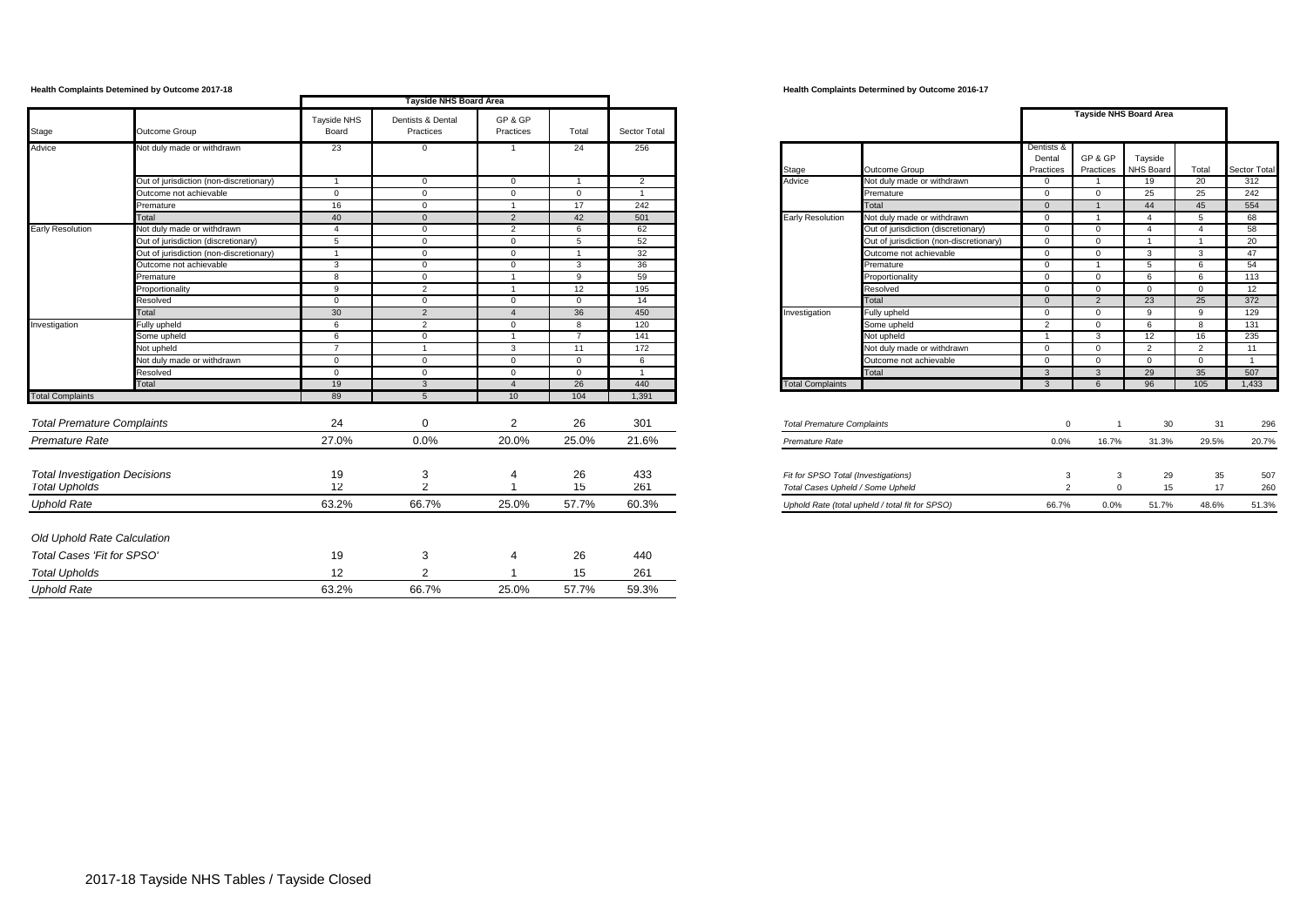|                                      |                                         |                | Tayside NHS Board Area |                 |                |                |                                                       |                         |                |                               |                |                |
|--------------------------------------|-----------------------------------------|----------------|------------------------|-----------------|----------------|----------------|-------------------------------------------------------|-------------------------|----------------|-------------------------------|----------------|----------------|
|                                      |                                         | Tayside NHS    | Dentists & Dental      | GP & GP         |                |                |                                                       |                         |                | <b>Tayside NHS Board Area</b> |                |                |
| Stage                                | Outcome Group                           | Board          | Practices              | Practices       | Total          | Sector Total   |                                                       |                         |                |                               |                |                |
| Advice                               | Not duly made or withdrawn              | 23             | $\mathbf 0$            | -1              | 24             | 256            |                                                       | Dentists &<br>Dental    | GP & GP        | Tayside                       |                |                |
|                                      |                                         |                |                        |                 |                |                | Outcome Group<br>Stage                                | Practices               | Practices      | NHS Board                     | Total          | Sector Total   |
|                                      | Out of jurisdiction (non-discretionary) | $\overline{1}$ | $\mathbf{0}$           | $\mathbf{0}$    |                | 2              | Advice<br>Not duly made or withdrawn                  | $\overline{0}$          | $\overline{1}$ | 19                            | 20             | 312            |
|                                      | Outcome not achievable                  | $\overline{0}$ | $\mathbf{0}$           | $\mathbf{0}$    | $\overline{0}$ | $\overline{1}$ | Premature                                             | $\overline{0}$          | $\overline{0}$ | 25                            | 25             | 242            |
|                                      | Premature                               | 16             | $\mathbf{0}$           | $\mathbf{1}$    | 17             | 242            | Total                                                 | $\overline{0}$          | $\overline{1}$ | 44                            | 45             | 554            |
|                                      | Total                                   | 40             | $\mathbf{0}$           | 2               | 42             | 501            | <b>Early Resolution</b><br>Not duly made or withdrawn | $\overline{0}$          | $\overline{1}$ | $\overline{4}$                | 5              | 68             |
| <b>Early Resolution</b>              | Not duly made or withdrawn              | $\overline{4}$ | $\mathbf 0$            | $\overline{2}$  | 6              | 62             | Out of jurisdiction (discretionary)                   | $\overline{0}$          | $\mathbf{0}$   | $\overline{4}$                | $\overline{4}$ | 58             |
|                                      | Out of jurisdiction (discretionary)     | 5              | $\mathbf 0$            | $\mathbf{0}$    | 5              | 52             | Out of jurisdiction (non-discretionary)               | $\overline{0}$          | $\mathbf{0}$   | $\overline{1}$                | $\overline{1}$ | 20             |
|                                      | Out of jurisdiction (non-discretionary) | $\overline{1}$ | $\mathbf{0}$           | $\mathbf{0}$    | $\overline{1}$ | 32             | Outcome not achievable                                | $\overline{0}$          | $\overline{0}$ | $\mathbf{3}$                  | $\mathbf{3}$   | 47             |
|                                      | Outcome not achievable                  | 3              | $\mathbf 0$            | $\mathbf{0}$    | $\overline{3}$ | 36             | Premature                                             | $\overline{0}$          | $\overline{1}$ | 5                             | 6              | 54             |
|                                      | Premature                               | 8              | $\mathbf{0}$           | $\overline{1}$  | 9              | 59             | Proportionality                                       | $\overline{0}$          | $\overline{0}$ | 6                             | 6              | 113            |
|                                      | Proportionality                         | 9              | $\overline{2}$         | $\overline{1}$  | 12             | 195            | Resolved                                              | $\overline{0}$          | $\overline{0}$ | $\mathbf{0}$                  | $\Omega$       | 12             |
|                                      | Resolved                                | $\Omega$       | $\overline{0}$         | $\overline{0}$  | $\overline{0}$ | 14             | Total                                                 | $\overline{0}$          | $\overline{2}$ | 23                            | 25             | 372            |
|                                      | Total                                   | 30             | $\overline{2}$         | $\overline{4}$  | 36             | 450            | Fully upheld<br>Investigation                         | $\overline{0}$          | $\overline{0}$ | 9                             | 9              | 129            |
| Investigation                        | <b>Fully upheld</b>                     | 6              | $\overline{2}$         | $\mathbf 0$     | 8              | 120            | Some upheld                                           | $\overline{2}$          | $\overline{0}$ | 6                             | 8              | 131            |
|                                      | Some upheld                             | 6              | $\mathbf 0$            | $\mathbf{1}$    | $\overline{7}$ | 141            | Not upheld                                            | $\overline{1}$          | $\mathbf{3}$   | 12                            | 16             | 235            |
|                                      | <b>Vot upheld</b>                       | $\overline{7}$ |                        | $\mathbf{3}$    | 11             | 172            | Not duly made or withdrawn                            | $\overline{0}$          | $\mathbf{0}$   | 2                             | $\overline{2}$ | 11             |
|                                      | Not duly made or withdrawn              | $\Omega$       | $\Omega$               | $\Omega$        | $\Omega$       | 6              | Outcome not achievable                                | $\Omega$                | $\Omega$       | $\Omega$                      | $\Omega$       | $\overline{1}$ |
|                                      | Resolved                                | $\mathbf{0}$   | $\mathbf{0}$           | $\mathbf{0}$    | $\mathbf{0}$   | $\mathbf{1}$   | Total                                                 | $\mathbf{3}$            | $\mathbf{3}$   | 29                            | 35             | 507            |
|                                      | Total                                   | 19             | $\overline{3}$         | $\overline{4}$  | 26             | 440            | <b>Total Complaints</b>                               | $\overline{\mathbf{3}}$ | 6              | 96                            | 105            | 1,433          |
| <b>Total Complaints</b>              |                                         | 89             |                        | 10 <sup>1</sup> | 104            | 1,391          |                                                       |                         |                |                               |                |                |
| <b>Total Premature Complaints</b>    |                                         | 24             | $\Omega$               | 2               | 26             | 301            | <b>Total Premature Complaints</b>                     | $\Omega$                |                | 30                            | 31             | 296            |
| Premature Rate                       |                                         | 27.0%          | 0.0%                   | 20.0%           | 25.0%          | 21.6%          | Premature Rate                                        | 0.0%                    | 16.7%          | 31.3%                         | 29.5%          | 20.7%          |
|                                      |                                         |                |                        |                 |                |                |                                                       |                         |                |                               |                |                |
| <b>Total Investigation Decisions</b> |                                         | 19             | 3                      |                 | 26             | 433            | Fit for SPSO Total (Investigations)                   | 3                       | 3              | 29                            | 35             | 507            |
| <b>Total Upholds</b>                 |                                         | 12             | $\overline{2}$         |                 | 15             | 261            | Total Cases Upheld / Some Upheld                      | $\overline{2}$          | $\Omega$       | 15                            | 17             | 260            |
| <b>Uphold Rate</b>                   |                                         | 63.2%          | 66.7%                  | 25.0%           | 57.7%          | 60.3%          | Uphold Rate (total upheld / total fit for SPSO)       | 66.7%                   | 0.0%           | 51.7%                         | 48.6%          | 51.3%          |
| Old Uphold Rate Calculation          |                                         |                |                        |                 |                |                |                                                       |                         |                |                               |                |                |
| Total Cases 'Fit for SPSO'           |                                         | 19             | 3                      | 4               | 26             | 440            |                                                       |                         |                |                               |                |                |
| <b>Total Upholds</b>                 |                                         | 12             | 2                      |                 | 15             | 261            |                                                       |                         |                |                               |                |                |
|                                      |                                         |                |                        |                 |                |                |                                                       |                         |                |                               |                |                |
| <b>Uphold Rate</b>                   |                                         | 63.2%          | 66.7%                  | 25.0%           | 57.7%          | 59.3%          |                                                       |                         |                |                               |                |                |

### **Health Complaints Detemined by Outcome 2017-18 Health Complaints Determined by Outcome 2016-17**

|                         |                                         | Dentists &<br>Dental | GP & GP        | Tayside          |                |              |
|-------------------------|-----------------------------------------|----------------------|----------------|------------------|----------------|--------------|
| Stage                   | Outcome Group                           | Practices            | Practices      | <b>NHS Board</b> | Total          | Sector Total |
| Advice                  | Not duly made or withdrawn              | $\Omega$             | 1              | 19               | 20             | 312          |
|                         | Premature                               | $\Omega$             | $\Omega$       | 25               | 25             | 242          |
|                         | Total                                   | $\Omega$             | $\mathbf{1}$   | 44               | 45             | 554          |
| Early Resolution        | Not duly made or withdrawn              | $\Omega$             | 1              | 4                | 5              | 68           |
|                         | Out of jurisdiction (discretionary)     | $\Omega$             | $\Omega$       | 4                | 4              | 58           |
|                         | Out of jurisdiction (non-discretionary) | $\Omega$             | $\Omega$       | 1                | 1              | 20           |
|                         | Outcome not achievable                  | $\Omega$             | $\Omega$       | 3                | 3              | 47           |
|                         | Premature                               | $\Omega$             | 1              | 5                | 6              | 54           |
|                         | Proportionality                         | $\Omega$             | $\Omega$       | 6                | 6              | 113          |
|                         | Resolved                                | 0                    | $\mathbf 0$    | $\Omega$         | $\Omega$       | 12           |
|                         | Total                                   | $\Omega$             | $\overline{2}$ | 23               | 25             | 372          |
| Investigation           | Fully upheld                            | $\Omega$             | $\Omega$       | 9                | 9              | 129          |
|                         | Some upheld                             | $\overline{2}$       | $\mathbf 0$    | 6                | 8              | 131          |
|                         | Not upheld                              | 1                    | 3              | 12               | 16             | 235          |
|                         | Not duly made or withdrawn              | $\mathbf 0$          | $\Omega$       | $\overline{2}$   | $\overline{2}$ | 11           |
|                         | Outcome not achievable                  | $\Omega$             | $\mathbf 0$    | $\Omega$         | $\Omega$       | 1            |
|                         | Total                                   | 3                    | 3              | 29               | 35             | 507          |
| <b>Total Complaints</b> |                                         | 3                    | 6              | 96               | 105            | 1.433        |

| Total Premature Complaints                      |       |       | -30   | -51   | 296   |
|-------------------------------------------------|-------|-------|-------|-------|-------|
| Premature Rate                                  | 0.0%  | 16.7% | 31.3% | 29.5% | 20.7% |
|                                                 |       |       |       |       |       |
| Fit for SPSO Total (Investigations)             |       |       | 29    | 35    | 507   |
| Total Cases Upheld / Some Upheld                |       |       | 15    | 17    | 260   |
| Uphold Rate (total upheld / total fit for SPSO) | 66.7% | 0.0%  | 51.7% | 48.6% | 51.3% |